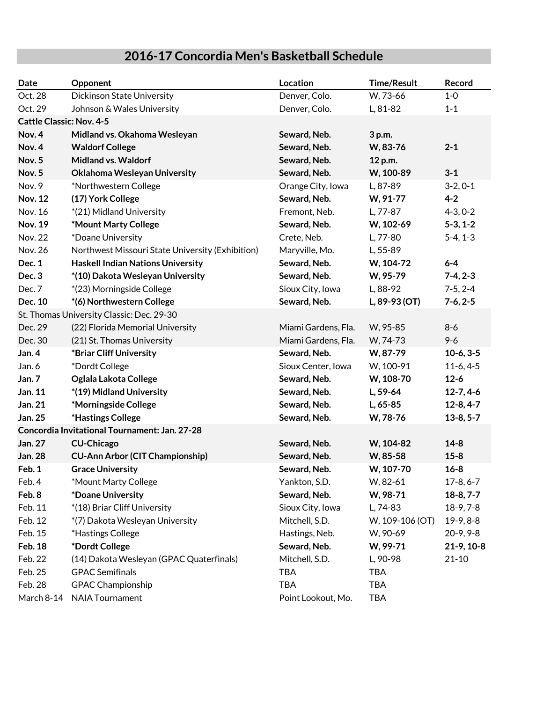## **2016-17 Concordia Men's Basketball Schedule**

| Date                                          | Opponent                                         | Location            | <b>Time/Result</b> | Record          |  |  |
|-----------------------------------------------|--------------------------------------------------|---------------------|--------------------|-----------------|--|--|
| Oct. 28                                       | Dickinson State University                       | Denver, Colo.       | W, 73-66           | $1-0$           |  |  |
| Oct. 29                                       | Johnson & Wales University                       | Denver, Colo.       | L, 81-82           | $1 - 1$         |  |  |
| <b>Cattle Classic: Nov. 4-5</b>               |                                                  |                     |                    |                 |  |  |
| Nov. 4                                        | Midland vs. Okahoma Wesleyan                     | Seward, Neb.        | 3 p.m.             |                 |  |  |
| Nov. 4                                        | <b>Waldorf College</b>                           | Seward, Neb.        | W, 83-76           | $2 - 1$         |  |  |
| Nov. 5                                        | <b>Midland vs. Waldorf</b>                       | Seward, Neb.        | 12 p.m.            |                 |  |  |
| Nov. 5                                        | Oklahoma Wesleyan University                     | Seward, Neb.        | W, 100-89          | $3 - 1$         |  |  |
| Nov. 9                                        | *Northwestern College                            | Orange City, Iowa   | L, 87-89           | $3-2, 0-1$      |  |  |
| <b>Nov. 12</b>                                | (17) York College                                | Seward, Neb.        | W, 91-77           | $4 - 2$         |  |  |
| Nov. 16                                       | *(21) Midland University                         | Fremont, Neb.       | L, 77-87           | $4-3, 0-2$      |  |  |
| <b>Nov. 19</b>                                | *Mount Marty College                             | Seward, Neb.        | W, 102-69          | $5-3, 1-2$      |  |  |
| <b>Nov. 22</b>                                | *Doane University                                | Crete, Neb.         | L, 77-80           | $5-4, 1-3$      |  |  |
| <b>Nov. 26</b>                                | Northwest Missouri State University (Exhibition) | Maryville, Mo.      | L, 55-89           |                 |  |  |
| Dec. 1                                        | <b>Haskell Indian Nations University</b>         | Seward, Neb.        | W, 104-72          | $6-4$           |  |  |
| Dec. 3                                        | *(10) Dakota Wesleyan University                 | Seward, Neb.        | W, 95-79           | $7-4, 2-3$      |  |  |
| Dec. 7                                        | *(23) Morningside College                        | Sioux City, Iowa    | L, 88-92           | $7-5, 2-4$      |  |  |
| Dec. 10                                       | *(6) Northwestern College                        | Seward, Neb.        | $L, 89-93 (OT)$    | $7-6, 2-5$      |  |  |
| St. Thomas University Classic: Dec. 29-30     |                                                  |                     |                    |                 |  |  |
| Dec. 29                                       | (22) Florida Memorial University                 | Miami Gardens, Fla. | W, 95-85           | $8 - 6$         |  |  |
| Dec. 30                                       | (21) St. Thomas University                       | Miami Gardens, Fla. | W, 74-73           | $9 - 6$         |  |  |
| Jan. 4                                        | *Briar Cliff University                          | Seward, Neb.        | W, 87-79           | $10-6, 3-5$     |  |  |
| Jan. 6                                        | *Dordt College                                   | Sioux Center, Iowa  | W, 100-91          | $11-6, 4-5$     |  |  |
| Jan. 7                                        | Oglala Lakota College                            | Seward, Neb.        | W, 108-70          | $12 - 6$        |  |  |
| Jan. 11                                       | *(19) Midland University                         | Seward, Neb.        | L, 59-64           | $12 - 7, 4 - 6$ |  |  |
| Jan. 21                                       | *Morningside College                             | Seward, Neb.        | L, 65-85           | $12-8, 4-7$     |  |  |
| Jan. 25                                       | *Hastings College                                | Seward, Neb.        | W, 78-76           | $13-8, 5-7$     |  |  |
| Concordia Invitational Tournament: Jan. 27-28 |                                                  |                     |                    |                 |  |  |
| Jan. 27                                       | <b>CU-Chicago</b>                                | Seward, Neb.        | W, 104-82          | $14 - 8$        |  |  |
| <b>Jan. 28</b>                                | <b>CU-Ann Arbor (CIT Championship)</b>           | Seward, Neb.        | W, 85-58           | $15 - 8$        |  |  |
| Feb. 1                                        | <b>Grace University</b>                          | Seward, Neb.        | W, 107-70          | $16 - 8$        |  |  |
| Feb. 4                                        | *Mount Marty College                             | Yankton, S.D.       | $W, 82-61$         | $17-8, 6-7$     |  |  |
| Feb. 8                                        | *Doane University                                | Seward, Neb.        | W, 98-71           | $18-8, 7-7$     |  |  |
| Feb. 11                                       | *(18) Briar Cliff University                     | Sioux City, Iowa    | L, 74-83           | $18-9, 7-8$     |  |  |
| Feb. 12                                       | *(7) Dakota Wesleyan University                  | Mitchell, S.D.      | W, 109-106 (OT)    | $19-9, 8-8$     |  |  |
| Feb. 15                                       | *Hastings College                                | Hastings, Neb.      | W, 90-69           | $20-9, 9-8$     |  |  |
| <b>Feb. 18</b>                                | *Dordt College                                   | Seward, Neb.        | W, 99-71           | $21-9, 10-8$    |  |  |
| Feb. 22                                       | (14) Dakota Wesleyan (GPAC Quaterfinals)         | Mitchell, S.D.      | L, 90-98           | $21 - 10$       |  |  |
| Feb. 25                                       | <b>GPAC Semifinals</b>                           | <b>TBA</b>          | <b>TBA</b>         |                 |  |  |
| Feb. 28                                       | <b>GPAC Championship</b>                         | <b>TBA</b>          | <b>TBA</b>         |                 |  |  |
| March 8-14                                    | <b>NAIA Tournament</b>                           | Point Lookout, Mo.  | <b>TBA</b>         |                 |  |  |